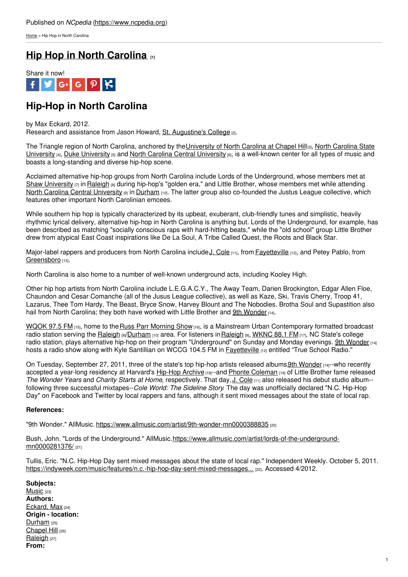[Home](https://www.ncpedia.org/) > Hip Hop in North Carolina

# **Hip Hop in North [Carolina](https://www.ncpedia.org/hip-hop-north-carolina) [1]**



# **Hip-Hop in North Carolina**

### by Max Eckard, 2012.

Research and assistance from Jason Howard, St. [Augustine's](https://www.ncpedia.org/saint-augustines-college) College [2].

The Triangle region of North Carolina, anchored by the University of North Carolina at Chapel Hill[3], North Carolina State [University](https://www.ncpedia.org/north-carolina-central-university) [4], Duke University [5] and North Carolina Central University [6], is a well-known center for all types of music and boasts a long-standing and diverse hip-hop scene.

Acclaimed alternative hip-hop groups from North Carolina include Lords of the Underground, whose members met at Shaw [University](https://www.ncpedia.org/shaw-university)  $\eta$  in [Raleigh](https://ncpedia.org/geography/raleigh)  $\beta$  during [hip-hop's](http://www.social9.com) "golden era," and Little Brother, whose members met while attending North Carolina Central [University](https://www.nccu.edu/) **[9]** in [Durham](https://ncpedia.org/geography/durham-city) [10]. The latter group also co-founded the Justus League collective, which features other important North Carolinian emcees.

While southern hip hop is typically characterized by its upbeat, exuberant, club-friendly tunes and simplistic, heavily rhythmic lyrical delivery, alternative hip-hop in North Carolina is anything but. Lords of the Underground, for example, has been described as matching "socially conscious raps with hard-hitting beats," while the "old school" group Little Brother drew from atypical East Coast inspirations like De La Soul, A Tribe Called Quest, the Roots and Black Star.

Major-label rappers and producers from North Carolina include J. [Cole](https://ncpedia.org/j-cole) [11], from [Fayetteville](https://www.ncpedia.org/fayetteville-0) [12], and Petey Pablo, from [Greensboro](https://www.ncpedia.org/greensboro-0) [13].

North Carolina is also home to a number of well-known underground acts, including Kooley High.

Other hip hop artists from North Carolina include L.E.G.A.C.Y., The Away Team, Darien Brockington, Edgar Allen Floe, Chaundon and Cesar Comanche (all of the Jusus League collective), as well as Kaze, Ski, Travis Cherry, Troop 41, Lazarus, Thee Tom Hardy, The Beast, Bryce Snow, Harvey Blount and The Nobodies. Brotha Soul and Supastition also hail from North Carolina; they both have worked with Little Brother and 9th [Wonder](https://www.ncpedia.org/biography/9th-wonder) [14].

[WQOK](https://hiphopnc.com/) 97.5 FM [15], home to the Russ Parr [Morning](https://blackamericaweb.com/category/russ-parr-morning-show/) Show [16], is a Mainstream Urban Contemporary formatted broadcast radio station serving the [Raleigh](https://ncpedia.org/geography/raleigh) [8][/Durham](https://ncpedia.org/geography/durham-city) [10] area. For listeners in Raleigh [8], [WKNC](https://wknc.org/) 88.1 FM [17], NC State's college radio station, plays alternative hip-hop on their program "Underground" on Sunday and Monday evenings. 9th [Wonder](https://www.ncpedia.org/biography/9th-wonder) [14] hosts a radio show along with Kyle Santillian on WCCG 104.5 FM in [Fayetteville](https://www.ncpedia.org/fayetteville-0) [12] entitled "True School Radio."

On Tuesday, September 27, 2011, three of the state's top hip-hop artists released albums. 9th [Wonder](https://www.ncpedia.org/biography/9th-wonder) [14]--who recently accepted a year-long residency at Harvard's [Hip-Hop](http://www.hiphoparchive.org/) Archive [18]--and Phonte [Coleman](https://www.ncpedia.org/phonte) [19] of Little Brother fame released *The Wonder Years* and *Charity Starts at Home*, respectively. That day, J. [Cole](https://ncpedia.org/j-cole) [11] also released his debut studio album- following three successful mixtapes--*Cole World: The Sideline Story*. The day was unofficially declared "N.C. Hip-Hop Day" on Facebook and Twitter by local rappers and fans, although it sent mixed messages about the state of local rap.

## **References:**

"9th Wonder." AllMusic. <https://www.allmusic.com/artist/9th-wonder-mn0000388835> [20]

Bush, John. "Lords of the Underground." [AllMusic.https://www.allmusic.com/artist/lords-of-the-underground](https://www.allmusic.com/artist/lords-of-the-underground-mn0000281376/)mn0000281376/<sub>[21]</sub>

Tullis, Eric. "N.C. Hip-Hop Day sent mixed messages about the state of local rap." Independent Weekly. October 5, 2011. [https://indyweek.com/music/features/n.c.-hip-hop-day-sent-mixed-messages...](https://indyweek.com/music/features/n.c.-hip-hop-day-sent-mixed-messages-state-local-rap/) [22]. Accessed 4/2012.

**Subjects:** [Music](https://www.ncpedia.org/category/subjects/music) [23] **Authors:** [Eckard,](https://www.ncpedia.org/category/authors/eckard-max) Max [24] **Origin - location:** [Durham](https://www.ncpedia.org/category/origin-location/piedmont-8) [25] [Chapel](https://www.ncpedia.org/category/origin-location/piedmont-5) Hill [26] [Raleigh](https://www.ncpedia.org/category/origin-location/piedmont-0) [27] **From:**